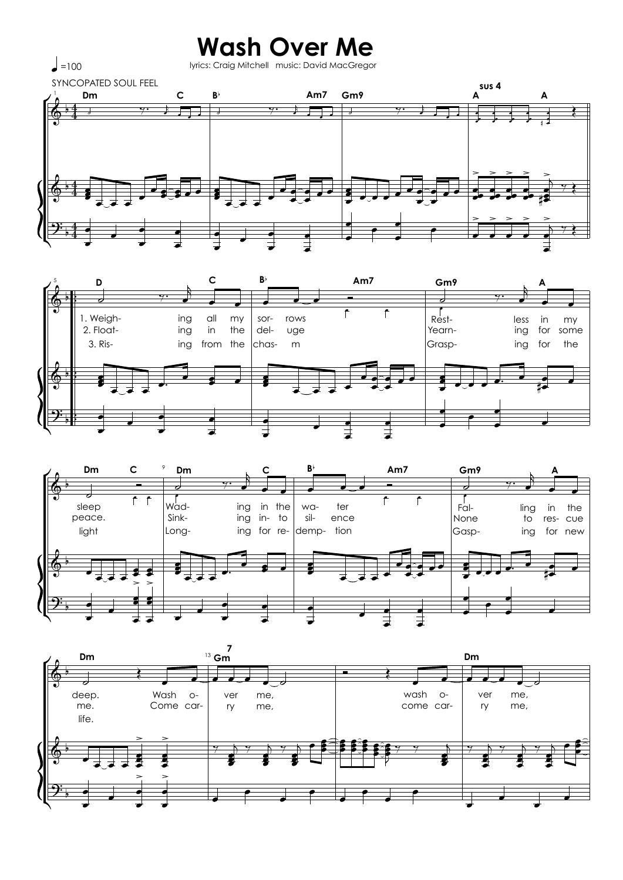## **Wash Over Me** lyrics: Craig Mitchell music: David MacGregor

 $\Big\rfloor$  = 100

**SYNCOPATED SOUL FEEL** sus 4 Dm  $\mathbf c$ Am7 A  $B^{\flat}$ Gm9  $\blacksquare$ Ť.  $\overline{1}$ प∙  $\overline{\phantom{0}}$ Ѣ